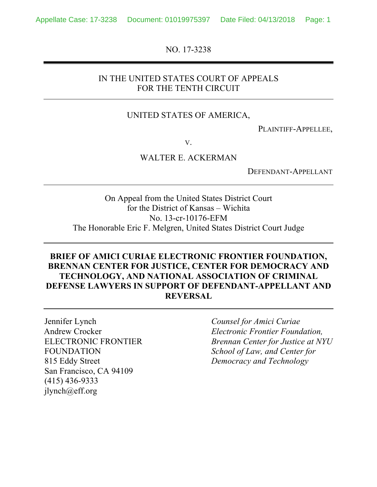NO. 17-3238

## IN THE UNITED STATES COURT OF APPEALS FOR THE TENTH CIRCUIT

#### UNITED STATES OF AMERICA,

PLAINTIFF-APPELLEE,

V.

#### WALTER E. ACKERMAN

DEFENDANT-APPELLANT

On Appeal from the United States District Court for the District of Kansas – Wichita No. 13-cr-10176-EFM The Honorable Eric F. Melgren, United States District Court Judge

## **BRIEF OF AMICI CURIAE ELECTRONIC FRONTIER FOUNDATION, BRENNAN CENTER FOR JUSTICE, CENTER FOR DEMOCRACY AND TECHNOLOGY, AND NATIONAL ASSOCIATION OF CRIMINAL DEFENSE LAWYERS IN SUPPORT OF DEFENDANT-APPELLANT AND REVERSAL**

Jennifer Lynch Andrew Crocker ELECTRONIC FRONTIER FOUNDATION 815 Eddy Street San Francisco, CA 94109 (415) 436-9333 jlynch@eff.org

*Counsel for Amici Curiae Electronic Frontier Foundation, Brennan Center for Justice at NYU School of Law, and Center for Democracy and Technology*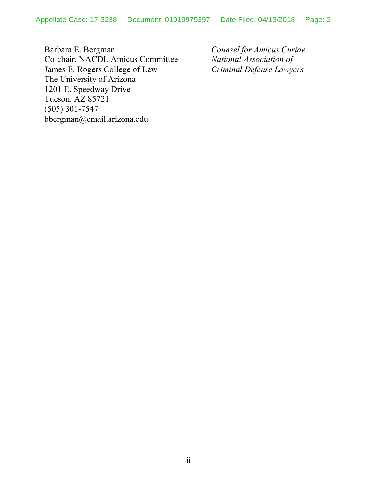Barbara E. Bergman Co-chair, NACDL Amicus Committee James E. Rogers College of Law The University of Arizona 1201 E. Speedway Drive Tucson, AZ 85721 (505) 301-7547 bbergman@email.arizona.edu

*Counsel for Amicus Curiae National Association of Criminal Defense Lawyers*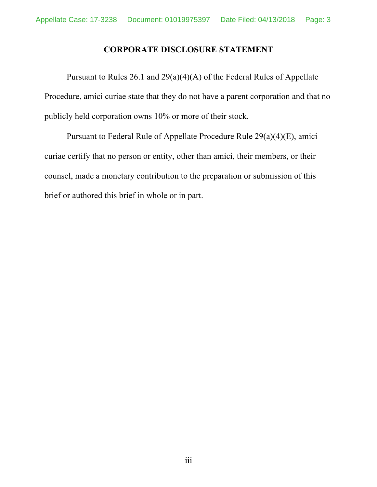## **CORPORATE DISCLOSURE STATEMENT**

Pursuant to Rules 26.1 and 29(a)(4)(A) of the Federal Rules of Appellate Procedure, amici curiae state that they do not have a parent corporation and that no publicly held corporation owns 10% or more of their stock.

Pursuant to Federal Rule of Appellate Procedure Rule 29(a)(4)(E), amici curiae certify that no person or entity, other than amici, their members, or their counsel, made a monetary contribution to the preparation or submission of this brief or authored this brief in whole or in part.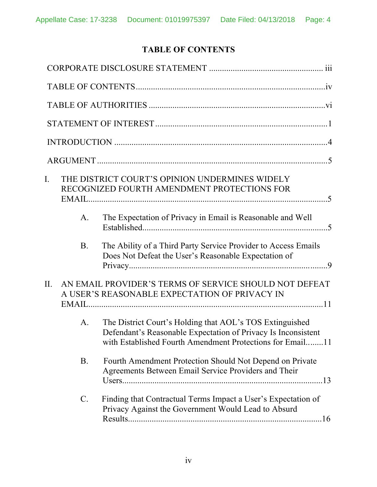# **TABLE OF CONTENTS**

| $\mathbf{I}$ . |                 | THE DISTRICT COURT'S OPINION UNDERMINES WIDELY<br>RECOGNIZED FOURTH AMENDMENT PROTECTIONS FOR                                                                                          |  |
|----------------|-----------------|----------------------------------------------------------------------------------------------------------------------------------------------------------------------------------------|--|
|                | A.              | The Expectation of Privacy in Email is Reasonable and Well                                                                                                                             |  |
|                | <b>B.</b>       | The Ability of a Third Party Service Provider to Access Emails<br>Does Not Defeat the User's Reasonable Expectation of                                                                 |  |
| $\Pi$ .        |                 | AN EMAIL PROVIDER'S TERMS OF SERVICE SHOULD NOT DEFEAT<br>A USER'S REASONABLE EXPECTATION OF PRIVACY IN                                                                                |  |
|                | A.              | The District Court's Holding that AOL's TOS Extinguished<br>Defendant's Reasonable Expectation of Privacy Is Inconsistent<br>with Established Fourth Amendment Protections for Email11 |  |
|                | <b>B.</b>       | Fourth Amendment Protection Should Not Depend on Private<br>Agreements Between Email Service Providers and Their                                                                       |  |
|                | $\mathcal{C}$ . | Finding that Contractual Terms Impact a User's Expectation of<br>Privacy Against the Government Would Lead to Absurd                                                                   |  |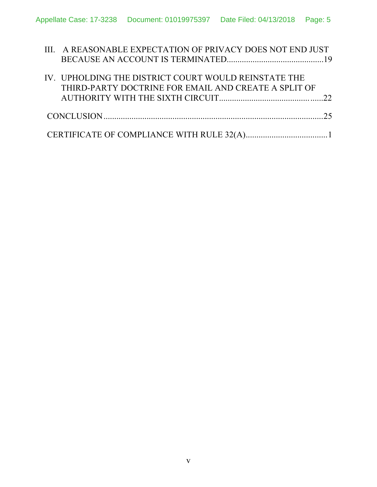| III. A REASONABLE EXPECTATION OF PRIVACY DOES NOT END JUST |  |
|------------------------------------------------------------|--|
|                                                            |  |
| IV. UPHOLDING THE DISTRICT COURT WOULD REINSTATE THE       |  |
| THIRD-PARTY DOCTRINE FOR EMAIL AND CREATE A SPLIT OF       |  |
|                                                            |  |
| CONCLUSION 25                                              |  |
|                                                            |  |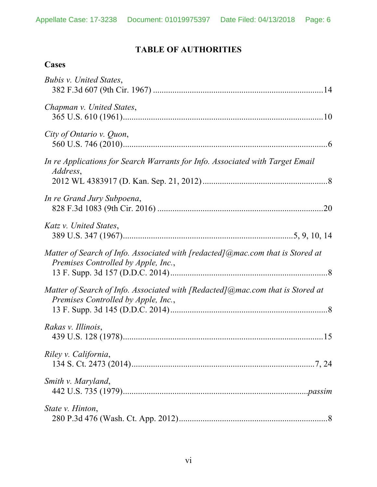# **TABLE OF AUTHORITIES**

# **Cases**

| Bubis v. United States,                                                                                                   |
|---------------------------------------------------------------------------------------------------------------------------|
| Chapman v. United States,                                                                                                 |
| City of Ontario v. Quon,                                                                                                  |
| In re Applications for Search Warrants for Info. Associated with Target Email<br><i>Address,</i>                          |
| In re Grand Jury Subpoena,                                                                                                |
| Katz v. United States,                                                                                                    |
| Matter of Search of Info. Associated with [redacted] $@$ mac.com that is Stored at<br>Premises Controlled by Apple, Inc., |
| Matter of Search of Info. Associated with [Redacted]@mac.com that is Stored at<br>Premises Controlled by Apple, Inc.,     |
| Rakas v. Illinois,                                                                                                        |
| Riley v. California,                                                                                                      |
| Smith v. Maryland,                                                                                                        |
| State v. Hinton,                                                                                                          |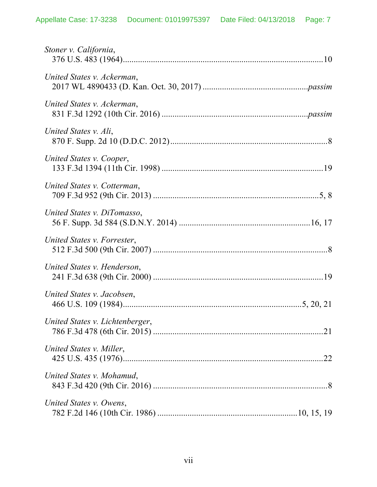| Stoner v. California,           |  |
|---------------------------------|--|
| United States v. Ackerman,      |  |
| United States v. Ackerman,      |  |
| United States v. Ali,           |  |
| United States v. Cooper,        |  |
| United States v. Cotterman,     |  |
| United States v. DiTomasso,     |  |
| United States v. Forrester,     |  |
| United States v. Henderson,     |  |
| United States v. Jacobsen,      |  |
| United States v. Lichtenberger, |  |
| United States v. Miller,        |  |
| United States v. Mohamud,       |  |
| United States v. Owens,         |  |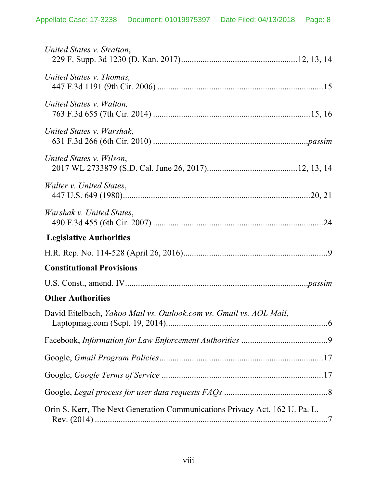| United States v. Stratton,                                                  |  |
|-----------------------------------------------------------------------------|--|
| United States v. Thomas,                                                    |  |
| United States v. Walton,                                                    |  |
| United States v. Warshak,                                                   |  |
| United States v. Wilson,                                                    |  |
| <i>Walter v. United States,</i>                                             |  |
| Warshak v. United States,                                                   |  |
| <b>Legislative Authorities</b>                                              |  |
|                                                                             |  |
| <b>Constitutional Provisions</b>                                            |  |
|                                                                             |  |
| <b>Other Authorities</b>                                                    |  |
| David Eitelbach, Yahoo Mail vs. Outlook.com vs. Gmail vs. AOL Mail,         |  |
|                                                                             |  |
|                                                                             |  |
|                                                                             |  |
|                                                                             |  |
| Orin S. Kerr, The Next Generation Communications Privacy Act, 162 U. Pa. L. |  |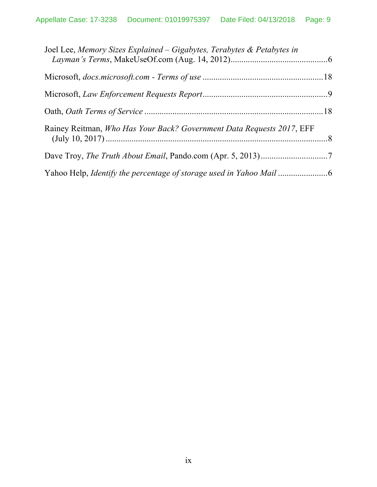| Joel Lee, Memory Sizes Explained – Gigabytes, Terabytes & Petabytes in |  |
|------------------------------------------------------------------------|--|
|                                                                        |  |
|                                                                        |  |
|                                                                        |  |
| Rainey Reitman, Who Has Your Back? Government Data Requests 2017, EFF  |  |
|                                                                        |  |
|                                                                        |  |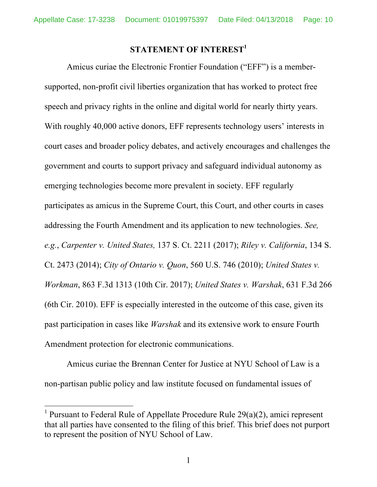# **STATEMENT OF INTEREST<sup>1</sup>**

Amicus curiae the Electronic Frontier Foundation ("EFF") is a membersupported, non-profit civil liberties organization that has worked to protect free speech and privacy rights in the online and digital world for nearly thirty years. With roughly 40,000 active donors, EFF represents technology users' interests in court cases and broader policy debates, and actively encourages and challenges the government and courts to support privacy and safeguard individual autonomy as emerging technologies become more prevalent in society. EFF regularly participates as amicus in the Supreme Court, this Court, and other courts in cases addressing the Fourth Amendment and its application to new technologies. *See, e.g.*, *Carpenter v. United States,* 137 S. Ct. 2211 (2017); *Riley v. California*, 134 S. Ct. 2473 (2014); *City of Ontario v. Quon*, 560 U.S. 746 (2010); *United States v. Workman*, 863 F.3d 1313 (10th Cir. 2017); *United States v. Warshak*, 631 F.3d 266 (6th Cir. 2010). EFF is especially interested in the outcome of this case, given its past participation in cases like *Warshak* and its extensive work to ensure Fourth Amendment protection for electronic communications.

Amicus curiae the Brennan Center for Justice at NYU School of Law is a non-partisan public policy and law institute focused on fundamental issues of

<sup>&</sup>lt;sup>1</sup> Pursuant to Federal Rule of Appellate Procedure Rule  $29(a)(2)$ , amici represent that all parties have consented to the filing of this brief. This brief does not purport to represent the position of NYU School of Law.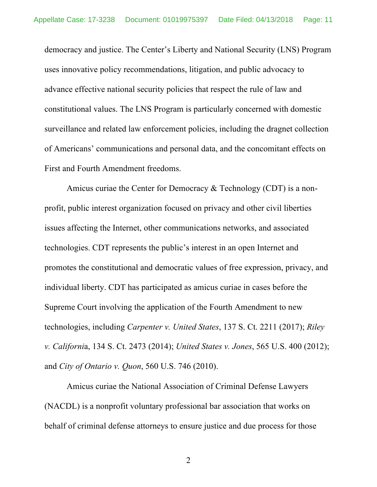democracy and justice. The Center's Liberty and National Security (LNS) Program uses innovative policy recommendations, litigation, and public advocacy to advance effective national security policies that respect the rule of law and constitutional values. The LNS Program is particularly concerned with domestic surveillance and related law enforcement policies, including the dragnet collection of Americans' communications and personal data, and the concomitant effects on First and Fourth Amendment freedoms.

Amicus curiae the Center for Democracy & Technology (CDT) is a nonprofit, public interest organization focused on privacy and other civil liberties issues affecting the Internet, other communications networks, and associated technologies. CDT represents the public's interest in an open Internet and promotes the constitutional and democratic values of free expression, privacy, and individual liberty. CDT has participated as amicus curiae in cases before the Supreme Court involving the application of the Fourth Amendment to new technologies, including *Carpenter v. United States*, 137 S. Ct. 2211 (2017); *Riley v. Californi*a, 134 S. Ct. 2473 (2014); *United States v. Jones*, 565 U.S. 400 (2012); and *City of Ontario v. Quon*, 560 U.S. 746 (2010).

Amicus curiae the National Association of Criminal Defense Lawyers (NACDL) is a nonprofit voluntary professional bar association that works on behalf of criminal defense attorneys to ensure justice and due process for those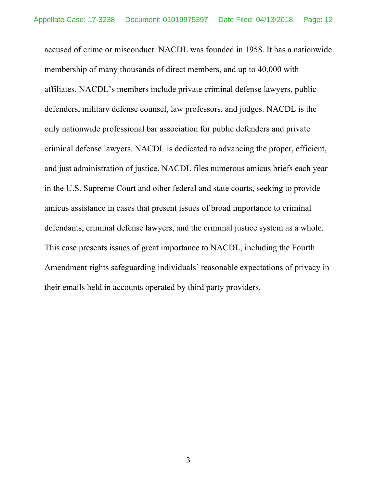accused of crime or misconduct. NACDL was founded in 1958. It has a nationwide membership of many thousands of direct members, and up to 40,000 with affiliates. NACDL's members include private criminal defense lawyers, public defenders, military defense counsel, law professors, and judges. NACDL is the only nationwide professional bar association for public defenders and private criminal defense lawyers. NACDL is dedicated to advancing the proper, efficient, and just administration of justice. NACDL files numerous amicus briefs each year in the U.S. Supreme Court and other federal and state courts, seeking to provide amicus assistance in cases that present issues of broad importance to criminal defendants, criminal defense lawyers, and the criminal justice system as a whole. This case presents issues of great importance to NACDL, including the Fourth Amendment rights safeguarding individuals' reasonable expectations of privacy in their emails held in accounts operated by third party providers.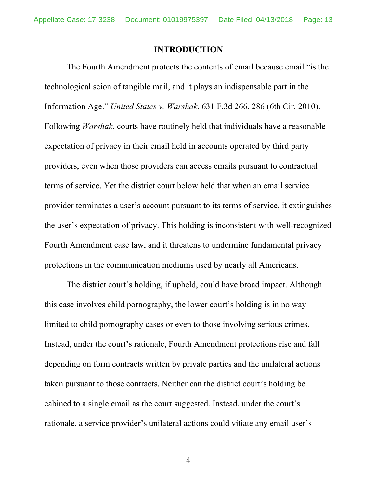#### **INTRODUCTION**

The Fourth Amendment protects the contents of email because email "is the technological scion of tangible mail, and it plays an indispensable part in the Information Age." *United States v. Warshak*, 631 F.3d 266, 286 (6th Cir. 2010). Following *Warshak*, courts have routinely held that individuals have a reasonable expectation of privacy in their email held in accounts operated by third party providers, even when those providers can access emails pursuant to contractual terms of service. Yet the district court below held that when an email service provider terminates a user's account pursuant to its terms of service, it extinguishes the user's expectation of privacy. This holding is inconsistent with well-recognized Fourth Amendment case law, and it threatens to undermine fundamental privacy protections in the communication mediums used by nearly all Americans.

The district court's holding, if upheld, could have broad impact. Although this case involves child pornography, the lower court's holding is in no way limited to child pornography cases or even to those involving serious crimes. Instead, under the court's rationale, Fourth Amendment protections rise and fall depending on form contracts written by private parties and the unilateral actions taken pursuant to those contracts. Neither can the district court's holding be cabined to a single email as the court suggested. Instead, under the court's rationale, a service provider's unilateral actions could vitiate any email user's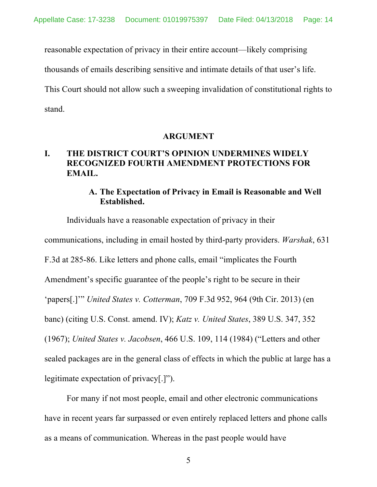reasonable expectation of privacy in their entire account—likely comprising

thousands of emails describing sensitive and intimate details of that user's life.

This Court should not allow such a sweeping invalidation of constitutional rights to stand.

#### **ARGUMENT**

# **I. THE DISTRICT COURT'S OPINION UNDERMINES WIDELY RECOGNIZED FOURTH AMENDMENT PROTECTIONS FOR EMAIL.**

## **A. The Expectation of Privacy in Email is Reasonable and Well Established.**

Individuals have a reasonable expectation of privacy in their communications, including in email hosted by third-party providers. *Warshak*, 631 F.3d at 285-86. Like letters and phone calls, email "implicates the Fourth Amendment's specific guarantee of the people's right to be secure in their 'papers[.]'" *United States v. Cotterman*, 709 F.3d 952, 964 (9th Cir. 2013) (en banc) (citing U.S. Const. amend. IV); *Katz v. United States*, 389 U.S. 347, 352 (1967); *United States v. Jacobsen*, 466 U.S. 109, 114 (1984) ("Letters and other sealed packages are in the general class of effects in which the public at large has a legitimate expectation of privacy[.]").

For many if not most people, email and other electronic communications have in recent years far surpassed or even entirely replaced letters and phone calls as a means of communication. Whereas in the past people would have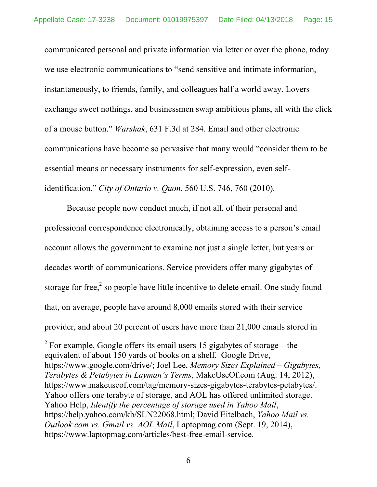communicated personal and private information via letter or over the phone, today we use electronic communications to "send sensitive and intimate information, instantaneously, to friends, family, and colleagues half a world away. Lovers exchange sweet nothings, and businessmen swap ambitious plans, all with the click of a mouse button." *Warshak*, 631 F.3d at 284. Email and other electronic communications have become so pervasive that many would "consider them to be essential means or necessary instruments for self-expression, even selfidentification." *City of Ontario v. Quon*, 560 U.S. 746, 760 (2010).

Because people now conduct much, if not all, of their personal and professional correspondence electronically, obtaining access to a person's email account allows the government to examine not just a single letter, but years or decades worth of communications. Service providers offer many gigabytes of storage for free, $\frac{2}{3}$  so people have little incentive to delete email. One study found that, on average, people have around 8,000 emails stored with their service provider, and about 20 percent of users have more than 21,000 emails stored in

 $2^2$  For example, Google offers its email users 15 gigabytes of storage—the equivalent of about 150 yards of books on a shelf. Google Drive, https://www.google.com/drive/; Joel Lee, *Memory Sizes Explained – Gigabytes, Terabytes & Petabytes in Layman's Terms*, MakeUseOf.com (Aug. 14, 2012), https://www.makeuseof.com/tag/memory-sizes-gigabytes-terabytes-petabytes/. Yahoo offers one terabyte of storage, and AOL has offered unlimited storage. Yahoo Help, *Identify the percentage of storage used in Yahoo Mail*, https://help.yahoo.com/kb/SLN22068.html; David Eitelbach, *Yahoo Mail vs. Outlook.com vs. Gmail vs. AOL Mail*, Laptopmag.com (Sept. 19, 2014), https://www.laptopmag.com/articles/best-free-email-service.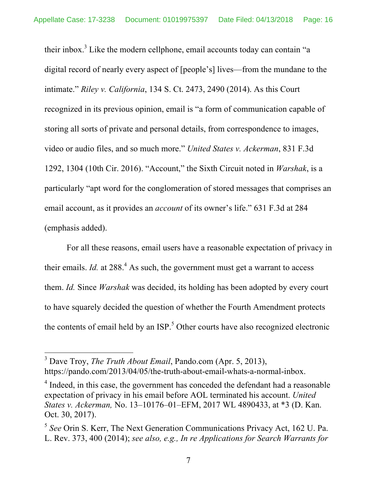their inbox.<sup>3</sup> Like the modern cellphone, email accounts today can contain "a digital record of nearly every aspect of [people's] lives—from the mundane to the intimate." *Riley v. California*, 134 S. Ct. 2473, 2490 (2014). As this Court recognized in its previous opinion, email is "a form of communication capable of storing all sorts of private and personal details, from correspondence to images, video or audio files, and so much more." *United States v. Ackerman*, 831 F.3d 1292, 1304 (10th Cir. 2016). "Account," the Sixth Circuit noted in *Warshak*, is a particularly "apt word for the conglomeration of stored messages that comprises an email account, as it provides an *account* of its owner's life." 631 F.3d at 284 (emphasis added).

For all these reasons, email users have a reasonable expectation of privacy in their emails. *Id.* at  $288<sup>4</sup>$  As such, the government must get a warrant to access them. *Id.* Since *Warshak* was decided, its holding has been adopted by every court to have squarely decided the question of whether the Fourth Amendment protects the contents of email held by an ISP.<sup>5</sup> Other courts have also recognized electronic

 <sup>3</sup> Dave Troy, *The Truth About Email*, Pando.com (Apr. 5, 2013), https://pando.com/2013/04/05/the-truth-about-email-whats-a-normal-inbox.

<sup>&</sup>lt;sup>4</sup> Indeed, in this case, the government has conceded the defendant had a reasonable expectation of privacy in his email before AOL terminated his account. *United States v. Ackerman,* No. 13–10176–01–EFM, 2017 WL 4890433, at \*3 (D. Kan. Oct. 30, 2017).

<sup>5</sup> *See* Orin S. Kerr, The Next Generation Communications Privacy Act, 162 U. Pa. L. Rev. 373, 400 (2014); *see also, e.g., In re Applications for Search Warrants for*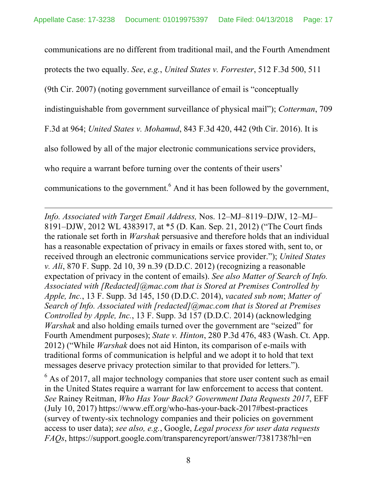communications are no different from traditional mail, and the Fourth Amendment protects the two equally. *See*, *e.g.*, *United States v. Forrester*, 512 F.3d 500, 511 (9th Cir. 2007) (noting government surveillance of email is "conceptually indistinguishable from government surveillance of physical mail"); *Cotterman*, 709 F.3d at 964; *United States v. Mohamud*, 843 F.3d 420, 442 (9th Cir. 2016). It is also followed by all of the major electronic communications service providers, who require a warrant before turning over the contents of their users' communications to the government. <sup>6</sup> And it has been followed by the government,

*Info. Associated with Target Email Address,* Nos. 12–MJ–8119–DJW, 12–MJ– 8191–DJW, 2012 WL 4383917, at \*5 (D. Kan. Sep. 21, 2012) ("The Court finds the rationale set forth in *Warshak* persuasive and therefore holds that an individual has a reasonable expectation of privacy in emails or faxes stored with, sent to, or received through an electronic communications service provider."); *United States v. Ali*, 870 F. Supp. 2d 10, 39 n.39 (D.D.C. 2012) (recognizing a reasonable expectation of privacy in the content of emails). *See also Matter of Search of Info. Associated with [Redacted]@mac.com that is Stored at Premises Controlled by Apple, Inc.*, 13 F. Supp. 3d 145, 150 (D.D.C. 2014), *vacated sub nom*; *Matter of Search of Info. Associated with [redacted]@mac.com that is Stored at Premises Controlled by Apple, Inc.*, 13 F. Supp. 3d 157 (D.D.C. 2014) (acknowledging *Warshak* and also holding emails turned over the government are "seized" for Fourth Amendment purposes); *State v. Hinton*, 280 P.3d 476, 483 (Wash. Ct. App. 2012) ("While *Warshak* does not aid Hinton, its comparison of e-mails with traditional forms of communication is helpful and we adopt it to hold that text messages deserve privacy protection similar to that provided for letters.").

<u>.</u>

 $6$  As of 2017, all major technology companies that store user content such as email in the United States require a warrant for law enforcement to access that content. *See* Rainey Reitman, *Who Has Your Back? Government Data Requests 2017*, EFF (July 10, 2017) https://www.eff.org/who-has-your-back-2017#best-practices (survey of twenty-six technology companies and their policies on government access to user data); *see also, e.g.*, Google, *Legal process for user data requests FAQs*, https://support.google.com/transparencyreport/answer/7381738?hl=en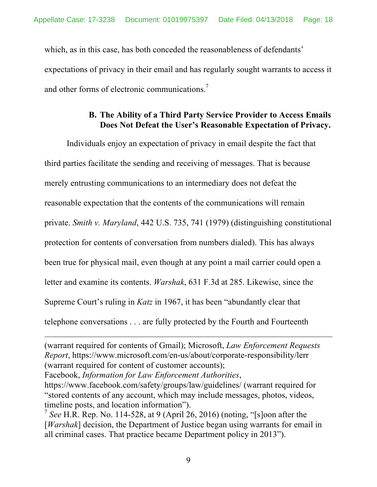which, as in this case, has both conceded the reasonableness of defendants' expectations of privacy in their email and has regularly sought warrants to access it and other forms of electronic communications.<sup>7</sup>

## **B. The Ability of a Third Party Service Provider to Access Emails Does Not Defeat the User's Reasonable Expectation of Privacy.**

Individuals enjoy an expectation of privacy in email despite the fact that third parties facilitate the sending and receiving of messages. That is because merely entrusting communications to an intermediary does not defeat the reasonable expectation that the contents of the communications will remain private. *Smith v. Maryland*, 442 U.S. 735, 741 (1979) (distinguishing constitutional protection for contents of conversation from numbers dialed). This has always been true for physical mail, even though at any point a mail carrier could open a letter and examine its contents. *Warshak*, 631 F.3d at 285. Likewise, since the Supreme Court's ruling in *Katz* in 1967, it has been "abundantly clear that telephone conversations . . . are fully protected by the Fourth and Fourteenth

Facebook, *Information for Law Enforcement Authorities*,

1

https://www.facebook.com/safety/groups/law/guidelines/ (warrant required for "stored contents of any account, which may include messages, photos, videos, timeline posts, and location information").

<sup>7</sup> See H.R. Rep. No. 114-528, at 9 (April 26, 2016) (noting, "[s]oon after the [*Warshak*] decision, the Department of Justice began using warrants for email in all criminal cases. That practice became Department policy in 2013").

<sup>(</sup>warrant required for contents of Gmail); Microsoft, *Law Enforcement Requests Report*, https://www.microsoft.com/en-us/about/corporate-responsibility/lerr (warrant required for content of customer accounts);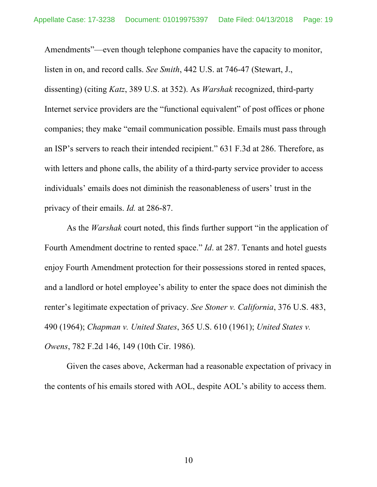Amendments"—even though telephone companies have the capacity to monitor, listen in on, and record calls. *See Smith*, 442 U.S. at 746-47 (Stewart, J., dissenting) (citing *Katz*, 389 U.S. at 352). As *Warshak* recognized, third-party Internet service providers are the "functional equivalent" of post offices or phone companies; they make "email communication possible. Emails must pass through an ISP's servers to reach their intended recipient." 631 F.3d at 286. Therefore, as with letters and phone calls, the ability of a third-party service provider to access individuals' emails does not diminish the reasonableness of users' trust in the privacy of their emails. *Id.* at 286-87.

As the *Warshak* court noted, this finds further support "in the application of Fourth Amendment doctrine to rented space." *Id*. at 287. Tenants and hotel guests enjoy Fourth Amendment protection for their possessions stored in rented spaces, and a landlord or hotel employee's ability to enter the space does not diminish the renter's legitimate expectation of privacy. *See Stoner v. California*, 376 U.S. 483, 490 (1964); *Chapman v. United States*, 365 U.S. 610 (1961); *United States v. Owens*, 782 F.2d 146, 149 (10th Cir. 1986).

Given the cases above, Ackerman had a reasonable expectation of privacy in the contents of his emails stored with AOL, despite AOL's ability to access them.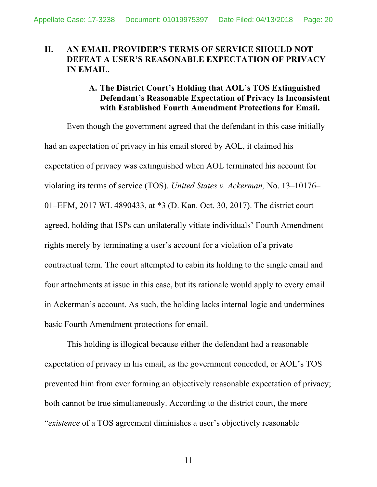# **II. AN EMAIL PROVIDER'S TERMS OF SERVICE SHOULD NOT DEFEAT A USER'S REASONABLE EXPECTATION OF PRIVACY IN EMAIL.**

## **A. The District Court's Holding that AOL's TOS Extinguished Defendant's Reasonable Expectation of Privacy Is Inconsistent with Established Fourth Amendment Protections for Email.**

Even though the government agreed that the defendant in this case initially had an expectation of privacy in his email stored by AOL, it claimed his expectation of privacy was extinguished when AOL terminated his account for violating its terms of service (TOS). *United States v. Ackerman,* No. 13–10176– 01–EFM, 2017 WL 4890433, at \*3 (D. Kan. Oct. 30, 2017). The district court agreed, holding that ISPs can unilaterally vitiate individuals' Fourth Amendment rights merely by terminating a user's account for a violation of a private contractual term. The court attempted to cabin its holding to the single email and four attachments at issue in this case, but its rationale would apply to every email in Ackerman's account. As such, the holding lacks internal logic and undermines basic Fourth Amendment protections for email.

This holding is illogical because either the defendant had a reasonable expectation of privacy in his email, as the government conceded, or AOL's TOS prevented him from ever forming an objectively reasonable expectation of privacy; both cannot be true simultaneously. According to the district court, the mere "*existence* of a TOS agreement diminishes a user's objectively reasonable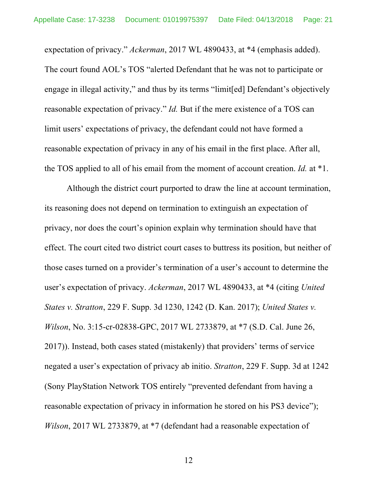expectation of privacy." *Ackerman*, 2017 WL 4890433, at \*4 (emphasis added). The court found AOL's TOS "alerted Defendant that he was not to participate or engage in illegal activity," and thus by its terms "limit[ed] Defendant's objectively reasonable expectation of privacy." *Id.* But if the mere existence of a TOS can limit users' expectations of privacy, the defendant could not have formed a reasonable expectation of privacy in any of his email in the first place. After all, the TOS applied to all of his email from the moment of account creation. *Id.* at \*1.

Although the district court purported to draw the line at account termination, its reasoning does not depend on termination to extinguish an expectation of privacy, nor does the court's opinion explain why termination should have that effect. The court cited two district court cases to buttress its position, but neither of those cases turned on a provider's termination of a user's account to determine the user's expectation of privacy. *Ackerman*, 2017 WL 4890433, at \*4 (citing *United States v. Stratton*, 229 F. Supp. 3d 1230, 1242 (D. Kan. 2017); *United States v. Wilson*, No. 3:15-cr-02838-GPC, 2017 WL 2733879, at \*7 (S.D. Cal. June 26, 2017)). Instead, both cases stated (mistakenly) that providers' terms of service negated a user's expectation of privacy ab initio. *Stratton*, 229 F. Supp. 3d at 1242 (Sony PlayStation Network TOS entirely "prevented defendant from having a reasonable expectation of privacy in information he stored on his PS3 device"); *Wilson*, 2017 WL 2733879, at \*7 (defendant had a reasonable expectation of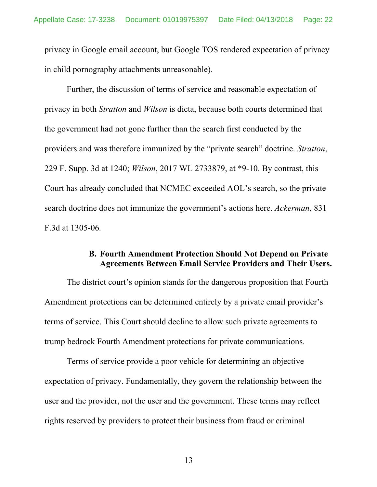privacy in Google email account, but Google TOS rendered expectation of privacy in child pornography attachments unreasonable).

Further, the discussion of terms of service and reasonable expectation of privacy in both *Stratton* and *Wilson* is dicta, because both courts determined that the government had not gone further than the search first conducted by the providers and was therefore immunized by the "private search" doctrine. *Stratton*, 229 F. Supp. 3d at 1240; *Wilson*, 2017 WL 2733879, at \*9-10. By contrast, this Court has already concluded that NCMEC exceeded AOL's search, so the private search doctrine does not immunize the government's actions here. *Ackerman*, 831 F.3d at 1305-06*.*

## **B. Fourth Amendment Protection Should Not Depend on Private Agreements Between Email Service Providers and Their Users.**

The district court's opinion stands for the dangerous proposition that Fourth Amendment protections can be determined entirely by a private email provider's terms of service. This Court should decline to allow such private agreements to trump bedrock Fourth Amendment protections for private communications.

Terms of service provide a poor vehicle for determining an objective expectation of privacy. Fundamentally, they govern the relationship between the user and the provider, not the user and the government. These terms may reflect rights reserved by providers to protect their business from fraud or criminal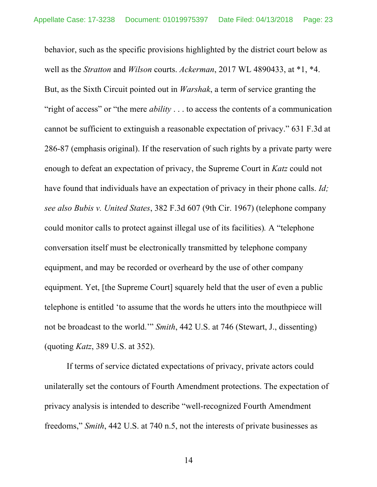behavior, such as the specific provisions highlighted by the district court below as well as the *Stratton* and *Wilson* courts. *Ackerman*, 2017 WL 4890433, at \*1, \*4. But, as the Sixth Circuit pointed out in *Warshak*, a term of service granting the "right of access" or "the mere *ability* . . . to access the contents of a communication cannot be sufficient to extinguish a reasonable expectation of privacy." 631 F.3d at 286-87 (emphasis original). If the reservation of such rights by a private party were enough to defeat an expectation of privacy, the Supreme Court in *Katz* could not have found that individuals have an expectation of privacy in their phone calls. *Id; see also Bubis v. United States*, 382 F.3d 607 (9th Cir. 1967) (telephone company could monitor calls to protect against illegal use of its facilities)*.* A "telephone conversation itself must be electronically transmitted by telephone company equipment, and may be recorded or overheard by the use of other company equipment. Yet, [the Supreme Court] squarely held that the user of even a public telephone is entitled 'to assume that the words he utters into the mouthpiece will not be broadcast to the world.'" *Smith*, 442 U.S. at 746 (Stewart, J., dissenting) (quoting *Katz*, 389 U.S. at 352).

If terms of service dictated expectations of privacy, private actors could unilaterally set the contours of Fourth Amendment protections. The expectation of privacy analysis is intended to describe "well-recognized Fourth Amendment freedoms," *Smith*, 442 U.S. at 740 n.5, not the interests of private businesses as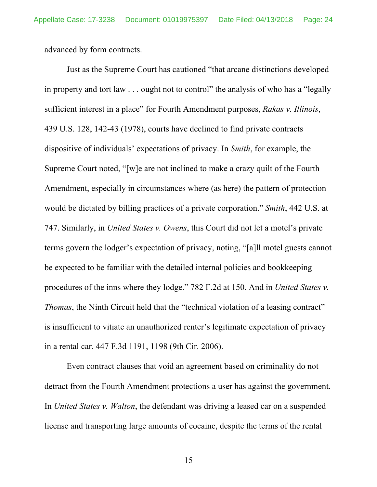advanced by form contracts.

Just as the Supreme Court has cautioned "that arcane distinctions developed in property and tort law . . . ought not to control" the analysis of who has a "legally sufficient interest in a place" for Fourth Amendment purposes, *Rakas v. Illinois*, 439 U.S. 128, 142-43 (1978), courts have declined to find private contracts dispositive of individuals' expectations of privacy. In *Smith*, for example, the Supreme Court noted, "[w]e are not inclined to make a crazy quilt of the Fourth Amendment, especially in circumstances where (as here) the pattern of protection would be dictated by billing practices of a private corporation." *Smith*, 442 U.S. at 747. Similarly, in *United States v. Owens*, this Court did not let a motel's private terms govern the lodger's expectation of privacy, noting, "[a]ll motel guests cannot be expected to be familiar with the detailed internal policies and bookkeeping procedures of the inns where they lodge." 782 F.2d at 150. And in *United States v. Thomas*, the Ninth Circuit held that the "technical violation of a leasing contract" is insufficient to vitiate an unauthorized renter's legitimate expectation of privacy in a rental car. 447 F.3d 1191, 1198 (9th Cir. 2006).

Even contract clauses that void an agreement based on criminality do not detract from the Fourth Amendment protections a user has against the government. In *United States v. Walton*, the defendant was driving a leased car on a suspended license and transporting large amounts of cocaine, despite the terms of the rental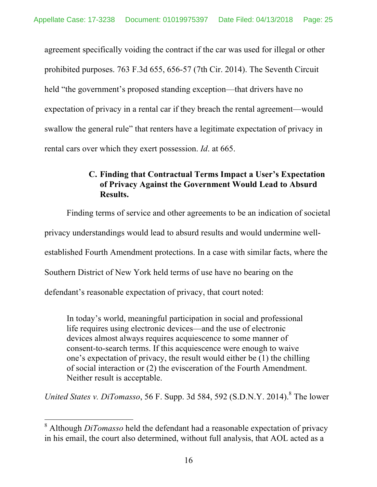agreement specifically voiding the contract if the car was used for illegal or other prohibited purposes. 763 F.3d 655, 656-57 (7th Cir. 2014). The Seventh Circuit held "the government's proposed standing exception—that drivers have no expectation of privacy in a rental car if they breach the rental agreement—would swallow the general rule" that renters have a legitimate expectation of privacy in rental cars over which they exert possession. *Id*. at 665.

# **C. Finding that Contractual Terms Impact a User's Expectation of Privacy Against the Government Would Lead to Absurd Results.**

Finding terms of service and other agreements to be an indication of societal privacy understandings would lead to absurd results and would undermine wellestablished Fourth Amendment protections. In a case with similar facts, where the Southern District of New York held terms of use have no bearing on the defendant's reasonable expectation of privacy, that court noted:

In today's world, meaningful participation in social and professional life requires using electronic devices—and the use of electronic devices almost always requires acquiescence to some manner of consent-to-search terms. If this acquiescence were enough to waive one's expectation of privacy, the result would either be (1) the chilling of social interaction or (2) the evisceration of the Fourth Amendment. Neither result is acceptable.

*United States v. DiTomasso*, 56 F. Supp. 3d 584, 592 (S.D.N.Y. 2014). <sup>8</sup> The lower

 <sup>8</sup> Although *DiTomasso* held the defendant had a reasonable expectation of privacy in his email, the court also determined, without full analysis, that AOL acted as a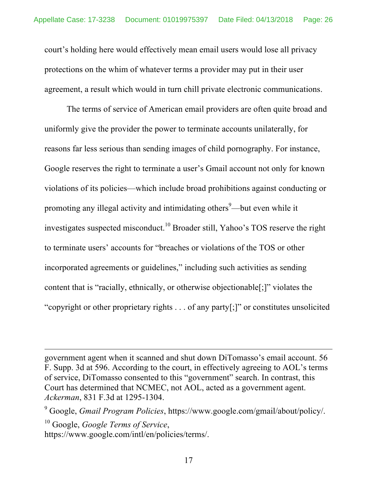court's holding here would effectively mean email users would lose all privacy protections on the whim of whatever terms a provider may put in their user agreement, a result which would in turn chill private electronic communications.

The terms of service of American email providers are often quite broad and uniformly give the provider the power to terminate accounts unilaterally, for reasons far less serious than sending images of child pornography. For instance, Google reserves the right to terminate a user's Gmail account not only for known violations of its policies—which include broad prohibitions against conducting or promoting any illegal activity and intimidating others<sup>9</sup>—but even while it investigates suspected misconduct.<sup>10</sup> Broader still, Yahoo's TOS reserve the right to terminate users' accounts for "breaches or violations of the TOS or other incorporated agreements or guidelines," including such activities as sending content that is "racially, ethnically, or otherwise objectionable[;]" violates the "copyright or other proprietary rights . . . of any party[;]" or constitutes unsolicited

government agent when it scanned and shut down DiTomasso's email account. 56 F. Supp. 3d at 596. According to the court, in effectively agreeing to AOL's terms of service, DiTomasso consented to this "government" search. In contrast, this Court has determined that NCMEC, not AOL, acted as a government agent. *Ackerman*, 831 F.3d at 1295-1304.

<sup>9</sup> Google, *Gmail Program Policies*, https://www.google.com/gmail/about/policy/.

<sup>10</sup> Google, *Google Terms of Service*, https://www.google.com/intl/en/policies/terms/.

<u>.</u>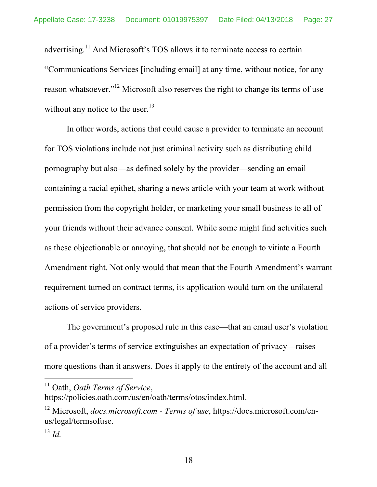advertising.<sup>11</sup> And Microsoft's TOS allows it to terminate access to certain "Communications Services [including email] at any time, without notice, for any reason whatsoever."<sup>12</sup> Microsoft also reserves the right to change its terms of use without any notice to the user.<sup>13</sup>

In other words, actions that could cause a provider to terminate an account for TOS violations include not just criminal activity such as distributing child pornography but also—as defined solely by the provider—sending an email containing a racial epithet, sharing a news article with your team at work without permission from the copyright holder, or marketing your small business to all of your friends without their advance consent. While some might find activities such as these objectionable or annoying, that should not be enough to vitiate a Fourth Amendment right. Not only would that mean that the Fourth Amendment's warrant requirement turned on contract terms, its application would turn on the unilateral actions of service providers.

The government's proposed rule in this case—that an email user's violation of a provider's terms of service extinguishes an expectation of privacy—raises more questions than it answers. Does it apply to the entirety of the account and all

 <sup>11</sup> Oath, *Oath Terms of Service*,

https://policies.oath.com/us/en/oath/terms/otos/index.html.

<sup>&</sup>lt;sup>12</sup> Microsoft, *docs.microsoft.com - Terms of use*, https://docs.microsoft.com/enus/legal/termsofuse.

<sup>13</sup> *Id.*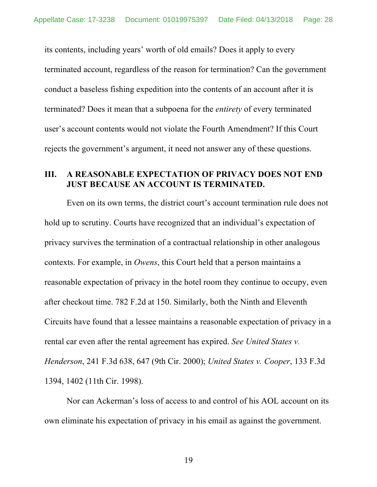its contents, including years' worth of old emails? Does it apply to every terminated account, regardless of the reason for termination? Can the government conduct a baseless fishing expedition into the contents of an account after it is terminated? Does it mean that a subpoena for the *entirety* of every terminated user's account contents would not violate the Fourth Amendment? If this Court rejects the government's argument, it need not answer any of these questions.

#### **III. A REASONABLE EXPECTATION OF PRIVACY DOES NOT END JUST BECAUSE AN ACCOUNT IS TERMINATED.**

Even on its own terms, the district court's account termination rule does not hold up to scrutiny. Courts have recognized that an individual's expectation of privacy survives the termination of a contractual relationship in other analogous contexts. For example, in *Owens*, this Court held that a person maintains a reasonable expectation of privacy in the hotel room they continue to occupy, even after checkout time. 782 F.2d at 150. Similarly, both the Ninth and Eleventh Circuits have found that a lessee maintains a reasonable expectation of privacy in a rental car even after the rental agreement has expired. *See United States v. Henderson*, 241 F.3d 638, 647 (9th Cir. 2000); *United States v. Cooper*, 133 F.3d 1394, 1402 (11th Cir. 1998).

Nor can Ackerman's loss of access to and control of his AOL account on its own eliminate his expectation of privacy in his email as against the government.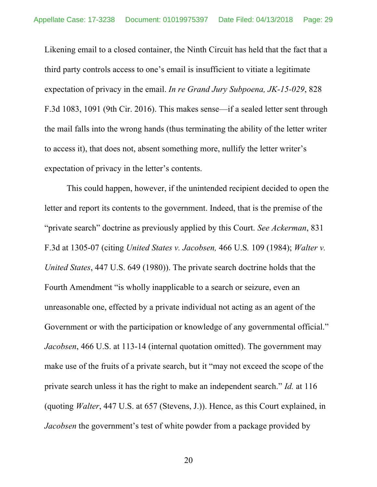Likening email to a closed container, the Ninth Circuit has held that the fact that a third party controls access to one's email is insufficient to vitiate a legitimate expectation of privacy in the email. *In re Grand Jury Subpoena, JK-15-029*, 828 F.3d 1083, 1091 (9th Cir. 2016). This makes sense—if a sealed letter sent through the mail falls into the wrong hands (thus terminating the ability of the letter writer to access it), that does not, absent something more, nullify the letter writer's expectation of privacy in the letter's contents.

This could happen, however, if the unintended recipient decided to open the letter and report its contents to the government. Indeed, that is the premise of the "private search" doctrine as previously applied by this Court. *See Ackerman*, 831 F.3d at 1305-07 (citing *United States v. Jacobsen,* 466 U.S*.* 109 (1984); *Walter v. United States*, 447 U.S. 649 (1980)). The private search doctrine holds that the Fourth Amendment "is wholly inapplicable to a search or seizure, even an unreasonable one, effected by a private individual not acting as an agent of the Government or with the participation or knowledge of any governmental official." *Jacobsen*, 466 U.S. at 113-14 (internal quotation omitted). The government may make use of the fruits of a private search, but it "may not exceed the scope of the private search unless it has the right to make an independent search." *Id.* at 116 (quoting *Walter*, 447 U.S. at 657 (Stevens, J.)). Hence, as this Court explained, in *Jacobsen* the government's test of white powder from a package provided by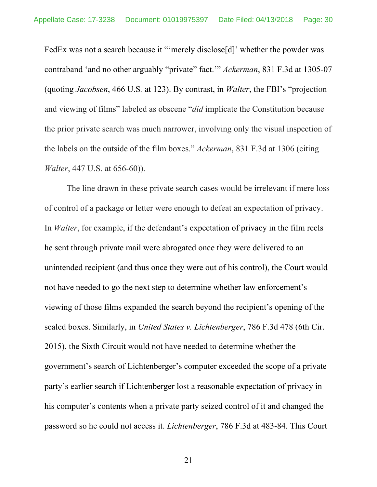FedEx was not a search because it "merely disclose[d]' whether the powder was contraband 'and no other arguably "private" fact.'" *Ackerman*, 831 F.3d at 1305-07 (quoting *Jacobsen*, 466 U.S*.* at 123). By contrast, in *Walter*, the FBI's "projection and viewing of films" labeled as obscene "*did* implicate the Constitution because the prior private search was much narrower, involving only the visual inspection of the labels on the outside of the film boxes." *Ackerman*, 831 F.3d at 1306 (citing *Walter*, 447 U.S. at 656-60)).

The line drawn in these private search cases would be irrelevant if mere loss of control of a package or letter were enough to defeat an expectation of privacy. In *Walter*, for example, if the defendant's expectation of privacy in the film reels he sent through private mail were abrogated once they were delivered to an unintended recipient (and thus once they were out of his control), the Court would not have needed to go the next step to determine whether law enforcement's viewing of those films expanded the search beyond the recipient's opening of the sealed boxes. Similarly, in *United States v. Lichtenberger*, 786 F.3d 478 (6th Cir. 2015), the Sixth Circuit would not have needed to determine whether the government's search of Lichtenberger's computer exceeded the scope of a private party's earlier search if Lichtenberger lost a reasonable expectation of privacy in his computer's contents when a private party seized control of it and changed the password so he could not access it. *Lichtenberger*, 786 F.3d at 483-84. This Court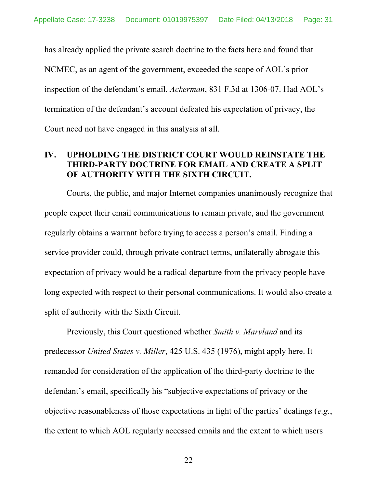has already applied the private search doctrine to the facts here and found that NCMEC, as an agent of the government, exceeded the scope of AOL's prior inspection of the defendant's email. *Ackerman*, 831 F.3d at 1306-07. Had AOL's termination of the defendant's account defeated his expectation of privacy, the Court need not have engaged in this analysis at all.

# **IV. UPHOLDING THE DISTRICT COURT WOULD REINSTATE THE THIRD-PARTY DOCTRINE FOR EMAIL AND CREATE A SPLIT OF AUTHORITY WITH THE SIXTH CIRCUIT.**

Courts, the public, and major Internet companies unanimously recognize that people expect their email communications to remain private, and the government regularly obtains a warrant before trying to access a person's email. Finding a service provider could, through private contract terms, unilaterally abrogate this expectation of privacy would be a radical departure from the privacy people have long expected with respect to their personal communications. It would also create a split of authority with the Sixth Circuit.

Previously, this Court questioned whether *Smith v. Maryland* and its predecessor *United States v. Miller*, 425 U.S. 435 (1976), might apply here. It remanded for consideration of the application of the third-party doctrine to the defendant's email, specifically his "subjective expectations of privacy or the objective reasonableness of those expectations in light of the parties' dealings (*e.g.*, the extent to which AOL regularly accessed emails and the extent to which users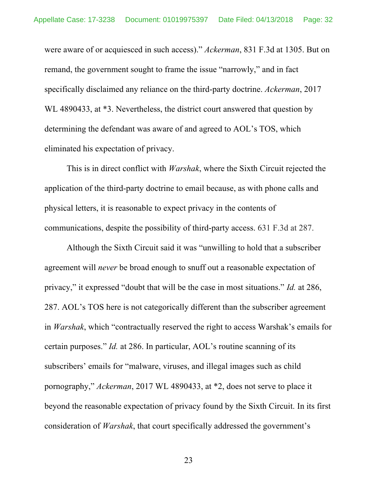were aware of or acquiesced in such access)." *Ackerman*, 831 F.3d at 1305. But on remand, the government sought to frame the issue "narrowly," and in fact specifically disclaimed any reliance on the third-party doctrine. *Ackerman*, 2017 WL 4890433, at  $*3$ . Nevertheless, the district court answered that question by determining the defendant was aware of and agreed to AOL's TOS, which eliminated his expectation of privacy.

This is in direct conflict with *Warshak*, where the Sixth Circuit rejected the application of the third-party doctrine to email because, as with phone calls and physical letters, it is reasonable to expect privacy in the contents of communications, despite the possibility of third-party access. 631 F.3d at 287.

Although the Sixth Circuit said it was "unwilling to hold that a subscriber agreement will *never* be broad enough to snuff out a reasonable expectation of privacy," it expressed "doubt that will be the case in most situations." *Id.* at 286, 287. AOL's TOS here is not categorically different than the subscriber agreement in *Warshak*, which "contractually reserved the right to access Warshak's emails for certain purposes." *Id.* at 286. In particular, AOL's routine scanning of its subscribers' emails for "malware, viruses, and illegal images such as child pornography," *Ackerman*, 2017 WL 4890433, at \*2, does not serve to place it beyond the reasonable expectation of privacy found by the Sixth Circuit. In its first consideration of *Warshak*, that court specifically addressed the government's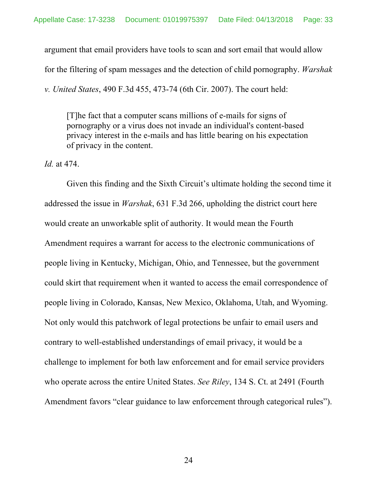argument that email providers have tools to scan and sort email that would allow for the filtering of spam messages and the detection of child pornography. *Warshak v. United States*, 490 F.3d 455, 473-74 (6th Cir. 2007). The court held:

[T]he fact that a computer scans millions of e-mails for signs of pornography or a virus does not invade an individual's content-based privacy interest in the e-mails and has little bearing on his expectation of privacy in the content.

*Id.* at 474.

Given this finding and the Sixth Circuit's ultimate holding the second time it addressed the issue in *Warshak*, 631 F.3d 266, upholding the district court here would create an unworkable split of authority. It would mean the Fourth Amendment requires a warrant for access to the electronic communications of people living in Kentucky, Michigan, Ohio, and Tennessee, but the government could skirt that requirement when it wanted to access the email correspondence of people living in Colorado, Kansas, New Mexico, Oklahoma, Utah, and Wyoming. Not only would this patchwork of legal protections be unfair to email users and contrary to well-established understandings of email privacy, it would be a challenge to implement for both law enforcement and for email service providers who operate across the entire United States. *See Riley*, 134 S. Ct. at 2491 (Fourth Amendment favors "clear guidance to law enforcement through categorical rules").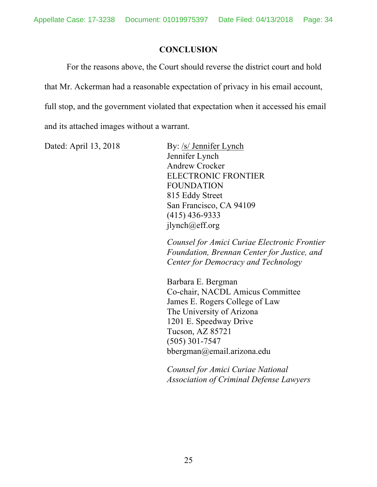# **CONCLUSION**

For the reasons above, the Court should reverse the district court and hold that Mr. Ackerman had a reasonable expectation of privacy in his email account, full stop, and the government violated that expectation when it accessed his email and its attached images without a warrant.

Dated: April 13, 2018 By: /s/ Jennifer Lynch Jennifer Lynch Andrew Crocker ELECTRONIC FRONTIER FOUNDATION 815 Eddy Street San Francisco, CA 94109 (415) 436-9333 jlynch@eff.org

> *Counsel for Amici Curiae Electronic Frontier Foundation, Brennan Center for Justice, and Center for Democracy and Technology*

Barbara E. Bergman Co-chair, NACDL Amicus Committee James E. Rogers College of Law The University of Arizona 1201 E. Speedway Drive Tucson, AZ 85721 (505) 301-7547 bbergman@email.arizona.edu

*Counsel for Amici Curiae National Association of Criminal Defense Lawyers*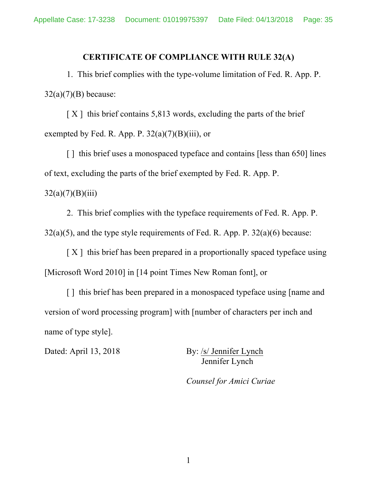### **CERTIFICATE OF COMPLIANCE WITH RULE 32(A)**

1. This brief complies with the type-volume limitation of Fed. R. App. P.  $32(a)(7)(B)$  because:

 $[X]$  this brief contains 5,813 words, excluding the parts of the brief exempted by Fed. R. App. P.  $32(a)(7)(B)(iii)$ , or

[] this brief uses a monospaced typeface and contains [less than 650] lines of text, excluding the parts of the brief exempted by Fed. R. App. P.  $32(a)(7)(B)(iii)$ 

2. This brief complies with the typeface requirements of Fed. R. App. P.  $32(a)(5)$ , and the type style requirements of Fed. R. App. P.  $32(a)(6)$  because:

 $[X]$  this brief has been prepared in a proportionally spaced typeface using [Microsoft Word 2010] in [14 point Times New Roman font], or

[] this brief has been prepared in a monospaced typeface using [name and version of word processing program] with [number of characters per inch and name of type style].

Dated: April 13, 2018 By: /s/ Jennifer Lynch Jennifer Lynch

*Counsel for Amici Curiae*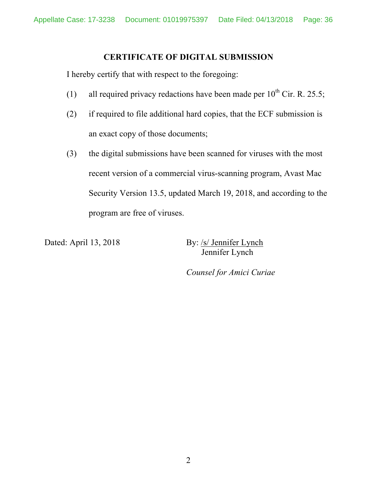# **CERTIFICATE OF DIGITAL SUBMISSION**

I hereby certify that with respect to the foregoing:

- (1) all required privacy redactions have been made per  $10^{th}$  Cir. R. 25.5;
- (2) if required to file additional hard copies, that the ECF submission is an exact copy of those documents;
- (3) the digital submissions have been scanned for viruses with the most recent version of a commercial virus-scanning program, Avast Mac Security Version 13.5, updated March 19, 2018, and according to the program are free of viruses.

Dated: April 13, 2018 By: /s/ Jennifer Lynch Jennifer Lynch

*Counsel for Amici Curiae*